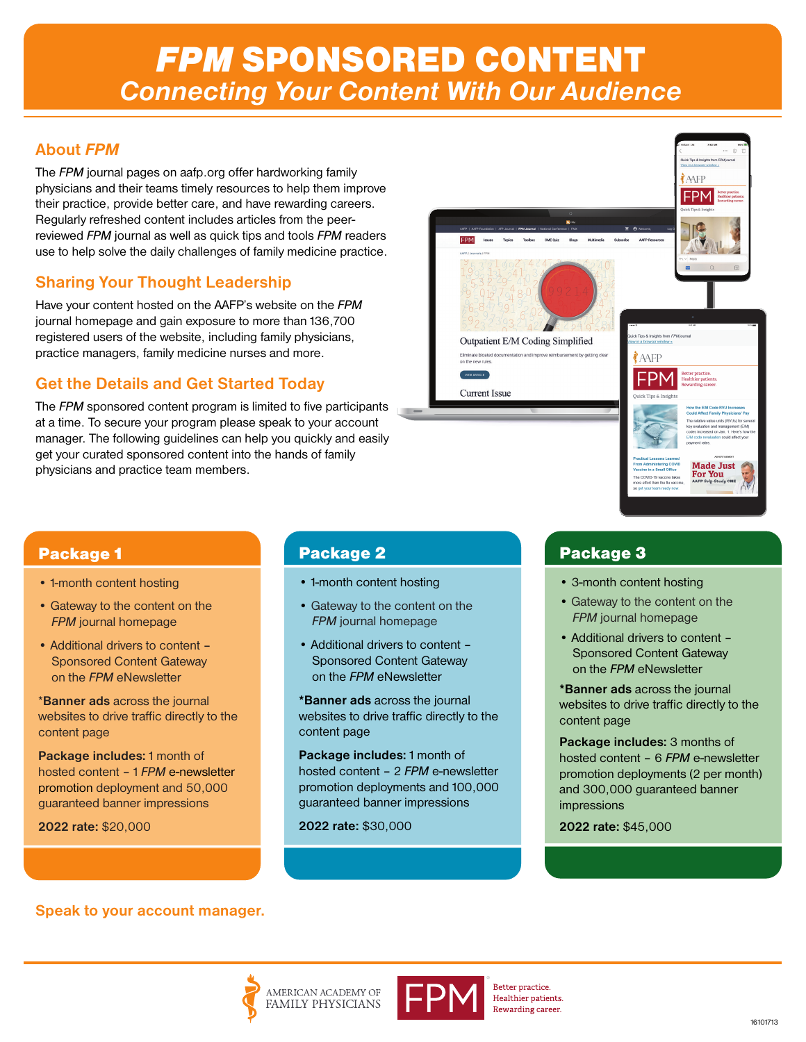# *FPM* SPONSORED CONTENT *Connecting Your Content With Our Audience*

### **About** *FPM*

The *FPM* journal pages on aafp.org offer hardworking family physicians and their teams timely resources to help them improve their practice, provide better care, and have rewarding careers. Regularly refreshed content includes articles from the peerreviewed *FPM* journal as well as quick tips and tools *FPM* readers use to help solve the daily challenges of family medicine practice.

## **Sharing Your Thought Leadership**

Have your content hosted on the AAFP's website on the *FPM* journal homepage and gain exposure to more than 136,700 registered users of the website, including family physicians, practice managers, family medicine nurses and more.

### **Get the Details and Get Started Today**

The *FPM* sponsored content program is limited to five participants at a time. To secure your program please speak to your account manager. The following guidelines can help you quickly and easily get your curated sponsored content into the hands of family physicians and practice team members.



### Package 1

- 1-month content hosting
- Gateway to the content on the *FPM* journal homepage
- Additional drivers to content Sponsored Content Gateway on the *FPM* eNewsletter

\***Banner ads** across the journal websites to drive traffic directly to the content page

**Package includes:** 1 month of hosted content – 1 *FPM* e-newsletter promotion deployment and 50,000 guaranteed banner impressions

**2022 rate:** \$20,000

## Package 2

- 1-month content hosting
- Gateway to the content on the *FPM* journal homepage
- Additional drivers to content Sponsored Content Gateway on the *FPM* eNewsletter

**\*Banner ads** across the journal websites to drive traffic directly to the content page

**Package includes:** 1 month of hosted content – 2 *FPM* e-newsletter promotion deployments and 100,000 guaranteed banner impressions

**2022 rate:** \$30,000

### Package 3

- 3-month content hosting
- Gateway to the content on the *FPM* journal homepage
- Additional drivers to content Sponsored Content Gateway on the *FPM* eNewsletter

**\*Banner ads** across the journal websites to drive traffic directly to the content page

**Package includes:** 3 months of hosted content – 6 *FPM* e-newsletter promotion deployments (2 per month) and 300,000 guaranteed banner impressions

**2022 rate:** \$45,000

**Speak to your account manager.**







Better practice. Healthier patients. Rewarding career.